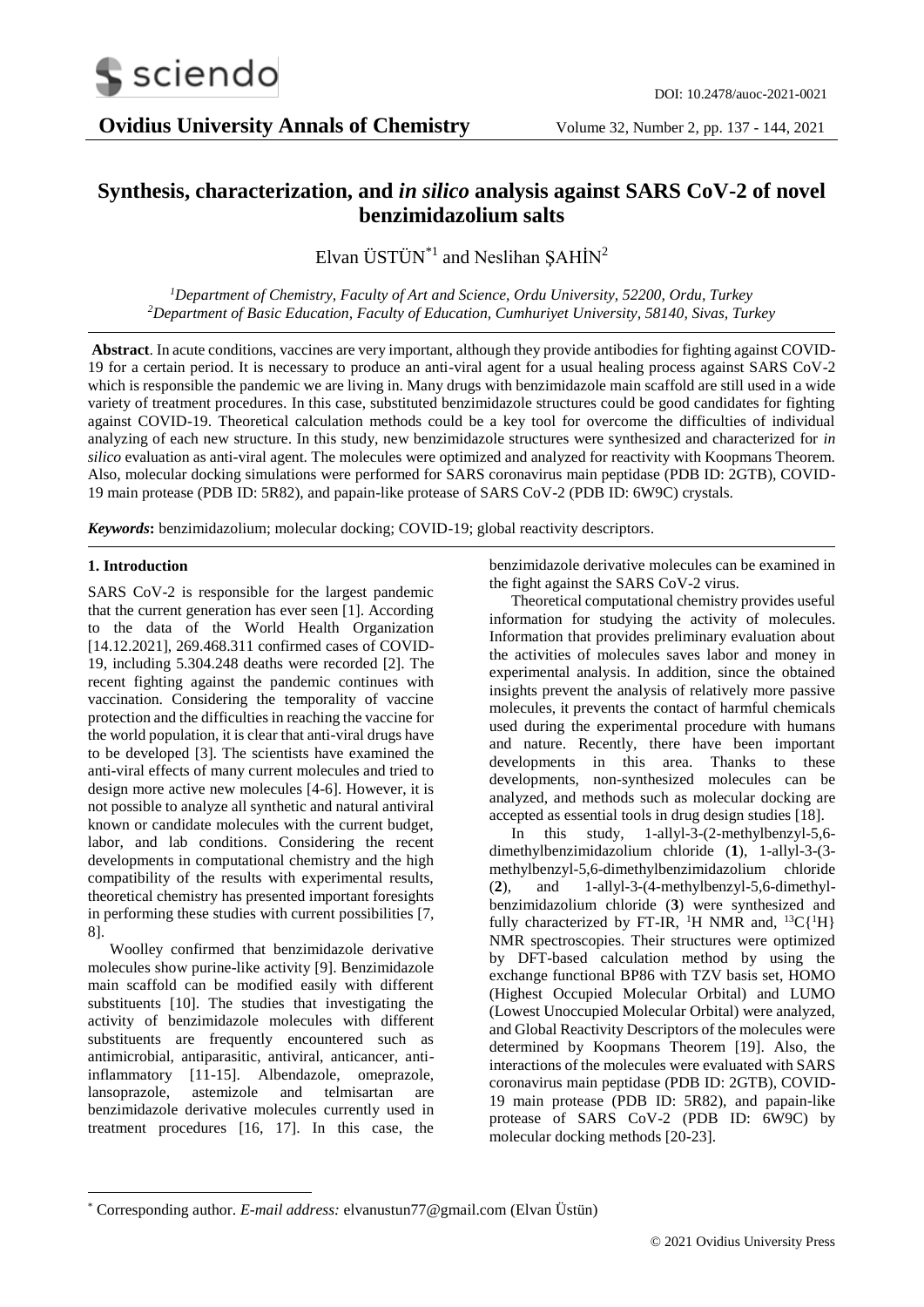

# **Synthesis, characterization, and** *in silico* **analysis against SARS CoV-2 of novel benzimidazolium salts**

Elvan  $\text{UST} \ddot{\text{U}} \text{N}^{*1}$  and Neslihan ŞAHİN<sup>2</sup>

*<sup>1</sup>Department of Chemistry, Faculty of Art and Science, Ordu University, 52200, Ordu, Turkey <sup>2</sup>Department of Basic Education, Faculty of Education, Cumhuriyet University, 58140, Sivas, Turkey*

**Abstract**. In acute conditions, vaccines are very important, although they provide antibodies for fighting against COVID-19 for a certain period. It is necessary to produce an anti-viral agent for a usual healing process against SARS CoV-2 which is responsible the pandemic we are living in. Many drugs with benzimidazole main scaffold are still used in a wide variety of treatment procedures. In this case, substituted benzimidazole structures could be good candidates for fighting against COVID-19. Theoretical calculation methods could be a key tool for overcome the difficulties of individual analyzing of each new structure. In this study, new benzimidazole structures were synthesized and characterized for *in silico* evaluation as anti-viral agent. The molecules were optimized and analyzed for reactivity with Koopmans Theorem. Also, molecular docking simulations were performed for SARS coronavirus main peptidase (PDB ID: 2GTB), COVID-19 main protease (PDB ID: 5R82), and papain-like protease of SARS CoV-2 (PDB ID: 6W9C) crystals.

*Keywords***:** benzimidazolium; molecular docking; COVID-19; global reactivity descriptors.

# **1. Introduction**

-

SARS CoV-2 is responsible for the largest pandemic that the current generation has ever seen [1]. According to the data of the World Health Organization [14.12.2021], 269.468.311 confirmed cases of COVID-19, including 5.304.248 deaths were recorded [2]. The recent fighting against the pandemic continues with vaccination. Considering the temporality of vaccine protection and the difficulties in reaching the vaccine for the world population, it is clear that anti-viral drugs have to be developed [3]. The scientists have examined the anti-viral effects of many current molecules and tried to design more active new molecules [4-6]. However, it is not possible to analyze all synthetic and natural antiviral known or candidate molecules with the current budget, labor, and lab conditions. Considering the recent developments in computational chemistry and the high compatibility of the results with experimental results, theoretical chemistry has presented important foresights in performing these studies with current possibilities [7, 8].

Woolley confirmed that benzimidazole derivative molecules show purine-like activity [9]. Benzimidazole main scaffold can be modified easily with different substituents [10]. The studies that investigating the activity of benzimidazole molecules with different substituents are frequently encountered such as antimicrobial, antiparasitic, antiviral, anticancer, antiinflammatory [11-15]. Albendazole, omeprazole, lansoprazole, astemizole and telmisartan are benzimidazole derivative molecules currently used in treatment procedures [16, 17]. In this case, the

benzimidazole derivative molecules can be examined in the fight against the SARS CoV-2 virus.

Theoretical computational chemistry provides useful information for studying the activity of molecules. Information that provides preliminary evaluation about the activities of molecules saves labor and money in experimental analysis. In addition, since the obtained insights prevent the analysis of relatively more passive molecules, it prevents the contact of harmful chemicals used during the experimental procedure with humans and nature. Recently, there have been important developments in this area. Thanks to these developments, non-synthesized molecules can be analyzed, and methods such as molecular docking are accepted as essential tools in drug design studies [18].

In this study, 1-allyl-3-(2-methylbenzyl-5,6 dimethylbenzimidazolium chloride (**1**), 1-allyl-3-(3 methylbenzyl-5,6-dimethylbenzimidazolium chloride (**2**), and 1-allyl-3-(4-methylbenzyl-5,6-dimethylbenzimidazolium chloride (**3**) were synthesized and fully characterized by FT-IR, <sup>1</sup>H NMR and, <sup>13</sup>C{<sup>1</sup>H} NMR spectroscopies. Their structures were optimized by DFT-based calculation method by using the exchange functional BP86 with TZV basis set, HOMO (Highest Occupied Molecular Orbital) and LUMO (Lowest Unoccupied Molecular Orbital) were analyzed, and Global Reactivity Descriptors of the molecules were determined by Koopmans Theorem [19]. Also, the interactions of the molecules were evaluated with SARS coronavirus main peptidase (PDB ID: 2GTB), COVID-19 main protease (PDB ID: 5R82), and papain-like protease of SARS CoV-2 (PDB ID: 6W9C) by molecular docking methods [20-23].

<sup>\*</sup> Corresponding author. *E-mail address:* elvanustun77@gmail.com (Elvan Üstün)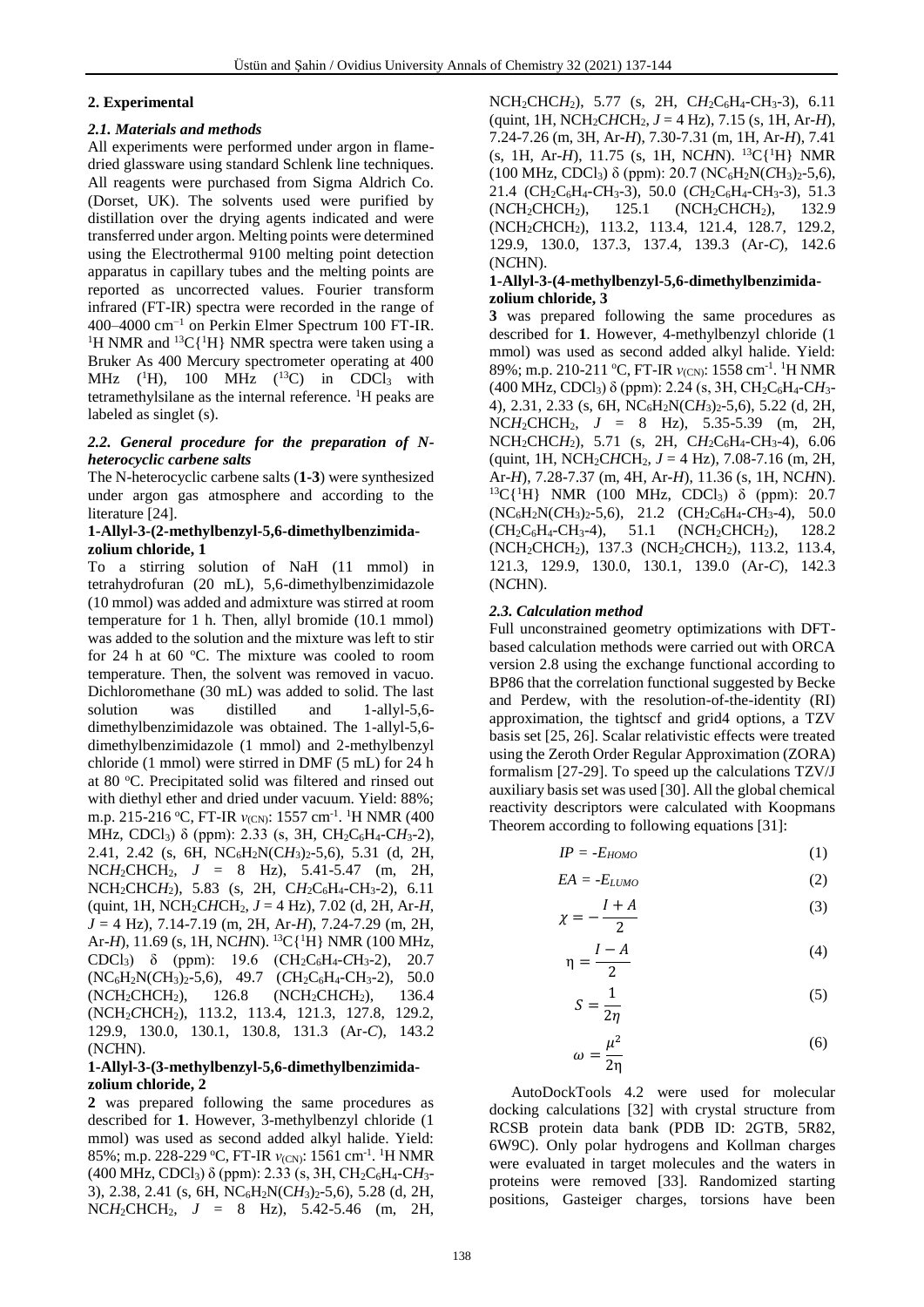# **2. Experimental**

#### *2.1. Materials and methods*

All experiments were performed under argon in flamedried glassware using standard Schlenk line techniques. All reagents were purchased from Sigma Aldrich Co. (Dorset, UK). The solvents used were purified by distillation over the drying agents indicated and were transferred under argon. Melting points were determined using the Electrothermal 9100 melting point detection apparatus in capillary tubes and the melting points are reported as uncorrected values. Fourier transform infrared (FT-IR) spectra were recorded in the range of 400–4000 cm−1 on Perkin Elmer Spectrum 100 FT-IR. <sup>1</sup>H NMR and <sup>13</sup>C{<sup>1</sup>H} NMR spectra were taken using a Bruker As 400 Mercury spectrometer operating at 400 MHz  $(^1H)$ , 100 MHz  $(^{13}C)$  in CDCl<sub>3</sub> with tetramethylsilane as the internal reference. <sup>1</sup>H peaks are labeled as singlet (s).

### *2.2. General procedure for the preparation of Nheterocyclic carbene salts*

The N-heterocyclic carbene salts (**1-3**) were synthesized under argon gas atmosphere and according to the literature [24].

#### **1-Allyl-3-(2-methylbenzyl-5,6-dimethylbenzimidazolium chloride, 1**

To a stirring solution of NaH (11 mmol) in tetrahydrofuran (20 mL), 5,6-dimethylbenzimidazole (10 mmol) was added and admixture was stirred at room temperature for 1 h. Then, allyl bromide (10.1 mmol) was added to the solution and the mixture was left to stir for 24 h at 60 $\degree$ C. The mixture was cooled to room temperature. Then, the solvent was removed in vacuo. Dichloromethane (30 mL) was added to solid. The last solution was distilled and 1-allyl-5,6 dimethylbenzimidazole was obtained. The 1-allyl-5,6 dimethylbenzimidazole (1 mmol) and 2-methylbenzyl chloride (1 mmol) were stirred in DMF (5 mL) for 24 h at 80 °C. Precipitated solid was filtered and rinsed out with diethyl ether and dried under vacuum. Yield: 88%; m.p. 215-216 °C, FT-IR *ν*<sub>(CN)</sub>: 1557 cm<sup>-1</sup>. <sup>1</sup>H NMR (400 MHz, CDCl3) δ (ppm): 2.33 (s, 3H, CH2C6H4-C*H*3-2), 2.41, 2.42 (s, 6H, NC6H2N(C*H*3)2-5,6), 5.31 (d, 2H, NC*H*2CHCH2, *J* = 8 Hz), 5.41-5.47 (m, 2H, NCH<sub>2</sub>CHCH<sub>2</sub>), 5.83 (s, 2H, CH<sub>2</sub>C<sub>6</sub>H<sub>4</sub>-CH<sub>3</sub>-2), 6.11 (quint, 1H, NCH2C*H*CH2, *J* = 4 Hz), 7.02 (d, 2H, Ar-*H*, *J* = 4 Hz), 7.14-7.19 (m, 2H, Ar-*H*), 7.24-7.29 (m, 2H, Ar-*H*), 11.69 (s, 1H, NC*H*N). <sup>13</sup>C{<sup>1</sup>H} NMR (100 MHz, CDCl3) δ (ppm): 19.6 (CH2C6H4-*C*H3-2), 20.7 (NC6H2N(*C*H3)2-5,6), 49.7 (*C*H2C6H4-CH3-2), 50.0 (N*C*H2CHCH2), 126.8 (NCH2CH*C*H2), 136.4 (NCH2*C*HCH2), 113.2, 113.4, 121.3, 127.8, 129.2, 129.9, 130.0, 130.1, 130.8, 131.3 (Ar-*C*), 143.2 (N*C*HN).

#### **1-Allyl-3-(3-methylbenzyl-5,6-dimethylbenzimidazolium chloride, 2**

**2** was prepared following the same procedures as described for **1**. However, 3-methylbenzyl chloride (1 mmol) was used as second added alkyl halide. Yield: 85%; m.p. 228-229 °C, FT-IR *ν*<sub>(CN)</sub>: 1561 cm<sup>-1</sup>. <sup>1</sup>H NMR (400 MHz, CDCl3) δ (ppm): 2.33 (s, 3H, CH2C6H4-C*H*3- 3), 2.38, 2.41 (s, 6H, NC6H2N(C*H*3)2-5,6), 5.28 (d, 2H, NC*H*2CHCH2, *J* = 8 Hz), 5.42-5.46 (m, 2H,

NCH<sub>2</sub>CHC*H*<sub>2</sub>), 5.77 (s, 2H, C*H*<sub>2</sub>C<sub>6</sub>H<sub>4</sub>-CH<sub>3</sub>-3), 6.11 (quint, 1H, NCH2C*H*CH2, *J* = 4 Hz), 7.15 (s, 1H, Ar-*H*), 7.24-7.26 (m, 3H, Ar-*H*), 7.30-7.31 (m, 1H, Ar-*H*), 7.41 (s, 1H, Ar-*H*), 11.75 (s, 1H, NC*H*N). <sup>13</sup>C{<sup>1</sup>H} NMR (100 MHz, CDCl3) δ (ppm): 20.7 (NC6H2N(*C*H3)2-5,6), 21.4 (CH2C6H4-*C*H3-3), 50.0 (*C*H2C6H4-CH3-3), 51.3 (N*C*H2CHCH2), 125.1 (NCH2CH*C*H2), 132.9 (NCH2*C*HCH2), 113.2, 113.4, 121.4, 128.7, 129.2, 129.9, 130.0, 137.3, 137.4, 139.3 (Ar-*C*), 142.6 (N*C*HN).

#### **1-Allyl-3-(4-methylbenzyl-5,6-dimethylbenzimidazolium chloride, 3**

**3** was prepared following the same procedures as described for **1**. However, 4-methylbenzyl chloride (1 mmol) was used as second added alkyl halide. Yield: 89%; m.p. 210-211 °C, FT-IR *ν*<sub>(CN)</sub>: 1558 cm<sup>-1</sup>. <sup>1</sup>H NMR (400 MHz, CDCl3) δ (ppm): 2.24 (s, 3H, CH2C6H4-C*H*3- 4), 2.31, 2.33 (s, 6H, NC6H2N(C*H*3)2-5,6), 5.22 (d, 2H, NC*H*2CHCH2, *J* = 8 Hz), 5.35-5.39 (m, 2H, NCH2CHC*H*2), 5.71 (s, 2H, C*H*2C6H4-CH3-4), 6.06 (quint, 1H, NCH2C*H*CH2, *J* = 4 Hz), 7.08-7.16 (m, 2H, Ar-*H*), 7.28-7.37 (m, 4H, Ar-*H*), 11.36 (s, 1H, NC*H*N). <sup>13</sup>C{<sup>1</sup>H} NMR (100 MHz, CDCl<sub>3</sub>) δ (ppm): 20.7 (NC6H2N(*C*H3)2-5,6), 21.2 (CH2C6H4-*C*H3-4), 50.0 (*C*H2C6H4-CH3-4), 51.1 (N*C*H2CHCH2), 128.2 (NCH2CH*C*H2), 137.3 (NCH2*C*HCH2), 113.2, 113.4, 121.3, 129.9, 130.0, 130.1, 139.0 (Ar-*C*), 142.3 (N*C*HN).

# *2.3. Calculation method*

Full unconstrained geometry optimizations with DFTbased calculation methods were carried out with ORCA version 2.8 using the exchange functional according to BP86 that the correlation functional suggested by Becke and Perdew, with the resolution-of-the-identity (RI) approximation, the tightscf and grid4 options, a TZV basis set [25, 26]. Scalar relativistic effects were treated using the Zeroth Order Regular Approximation (ZORA) formalism [27-29]. To speed up the calculations TZV/J auxiliary basis set was used [30]. All the global chemical reactivity descriptors were calculated with Koopmans Theorem according to following equations [31]:

$$
IP = -E_{HOMO} \tag{1}
$$

$$
EA = -E_{LUMO} \tag{2}
$$

$$
\chi = -\frac{I + A}{2} \tag{3}
$$

$$
\eta = \frac{I - A}{2} \tag{4}
$$

$$
S = \frac{1}{2\eta} \tag{5}
$$

$$
\omega = \frac{\mu^2}{2\eta} \tag{6}
$$

AutoDockTools 4.2 were used for molecular docking calculations [32] with crystal structure from RCSB protein data bank (PDB ID: 2GTB, 5R82, 6W9C). Only polar hydrogens and Kollman charges were evaluated in target molecules and the waters in proteins were removed [33]. Randomized starting positions, Gasteiger charges, torsions have been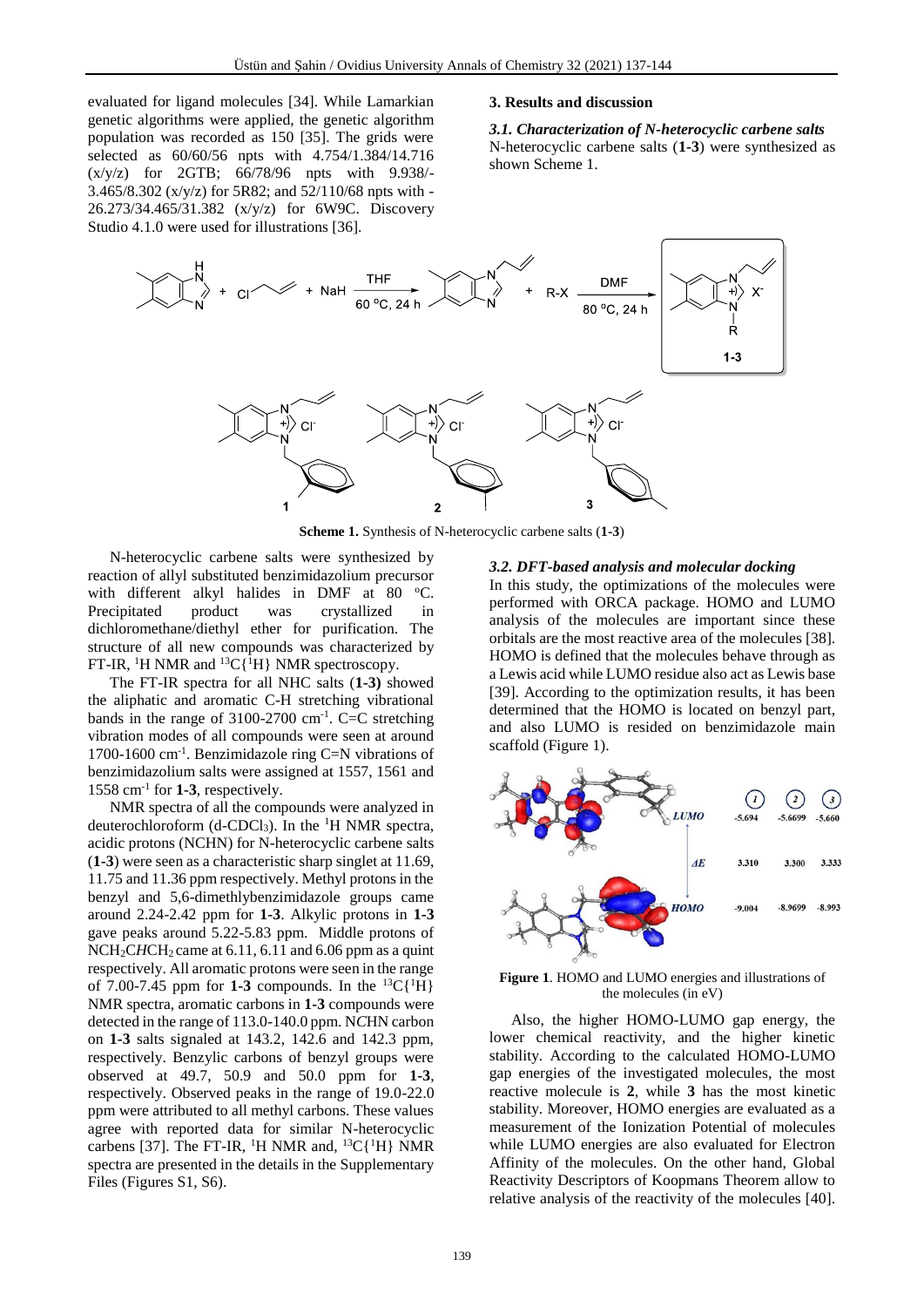evaluated for ligand molecules [34]. While Lamarkian genetic algorithms were applied, the genetic algorithm population was recorded as 150 [35]. The grids were selected as 60/60/56 npts with 4.754/1.384/14.716 (x/y/z) for 2GTB; 66/78/96 npts with 9.938/- 3.465/8.302 (x/y/z) for 5R82; and 52/110/68 npts with - 26.273/34.465/31.382 (x/y/z) for 6W9C. Discovery Studio 4.1.0 were used for illustrations [36].

#### **3. Results and discussion**

*3.1. Characterization of N-heterocyclic carbene salts* N-heterocyclic carbene salts (**1-3**) were synthesized as shown Scheme 1.



**Scheme 1.** Synthesis of N-heterocyclic carbene salts (**1-3**)

N-heterocyclic carbene salts were synthesized by reaction of allyl substituted benzimidazolium precursor with different alkyl halides in DMF at 80  $^{\circ}$ C. Precipitated product was crystallized in dichloromethane/diethyl ether for purification. The structure of all new compounds was characterized by FT-IR, <sup>1</sup>H NMR and <sup>13</sup>C{<sup>1</sup>H} NMR spectroscopy.

The FT-IR spectra for all NHC salts (**1-3)** showed the aliphatic and aromatic C-H stretching vibrational bands in the range of  $3100-2700$  cm<sup>-1</sup>. C=C stretching vibration modes of all compounds were seen at around 1700-1600 cm-1 . Benzimidazole ring C=N vibrations of benzimidazolium salts were assigned at 1557, 1561 and 1558 cm-1 for **1-3**, respectively.

NMR spectra of all the compounds were analyzed in deuterochloroform (d-CDCl3). In the <sup>1</sup>H NMR spectra, acidic protons (NCHN) for N-heterocyclic carbene salts (**1-3**) were seen as a characteristic sharp singlet at 11.69, 11.75 and 11.36 ppm respectively. Methyl protons in the benzyl and 5,6-dimethlybenzimidazole groups came around 2.24-2.42 ppm for **1-3**. Alkylic protons in **1-3** gave peaks around 5.22-5.83 ppm. Middle protons of  $NCH<sub>2</sub>CHCH<sub>2</sub> came at 6.11, 6.11 and 6.06 ppm as a quint$ respectively. All aromatic protons were seen in the range of 7.00-7.45 ppm for **1-3** compounds. In the <sup>13</sup>C{<sup>1</sup>H} NMR spectra, aromatic carbons in **1-3** compounds were detected in the range of 113.0-140.0 ppm. N*C*HN carbon on **1-3** salts signaled at 143.2, 142.6 and 142.3 ppm, respectively. Benzylic carbons of benzyl groups were observed at 49.7, 50.9 and 50.0 ppm for **1-3**, respectively. Observed peaks in the range of 19.0-22.0 ppm were attributed to all methyl carbons. These values agree with reported data for similar N-heterocyclic carbens [37]. The FT-IR, <sup>1</sup>H NMR and, <sup>13</sup>C{<sup>1</sup>H} NMR spectra are presented in the details in the Supplementary Files (Figures S1, S6).

#### *3.2. DFT-based analysis and molecular docking*

In this study, the optimizations of the molecules were performed with ORCA package. HOMO and LUMO analysis of the molecules are important since these orbitals are the most reactive area of the molecules [38]. HOMO is defined that the molecules behave through as a Lewis acid while LUMO residue also act as Lewis base [39]. According to the optimization results, it has been determined that the HOMO is located on benzyl part, and also LUMO is resided on benzimidazole main scaffold (Figure 1).



#### **Figure 1**. HOMO and LUMO energies and illustrations of the molecules (in eV)

Also, the higher HOMO-LUMO gap energy, the lower chemical reactivity, and the higher kinetic stability. According to the calculated HOMO-LUMO gap energies of the investigated molecules, the most reactive molecule is **2**, while **3** has the most kinetic stability. Moreover, HOMO energies are evaluated as a measurement of the Ionization Potential of molecules while LUMO energies are also evaluated for Electron Affinity of the molecules. On the other hand, Global Reactivity Descriptors of Koopmans Theorem allow to relative analysis of the reactivity of the molecules [40].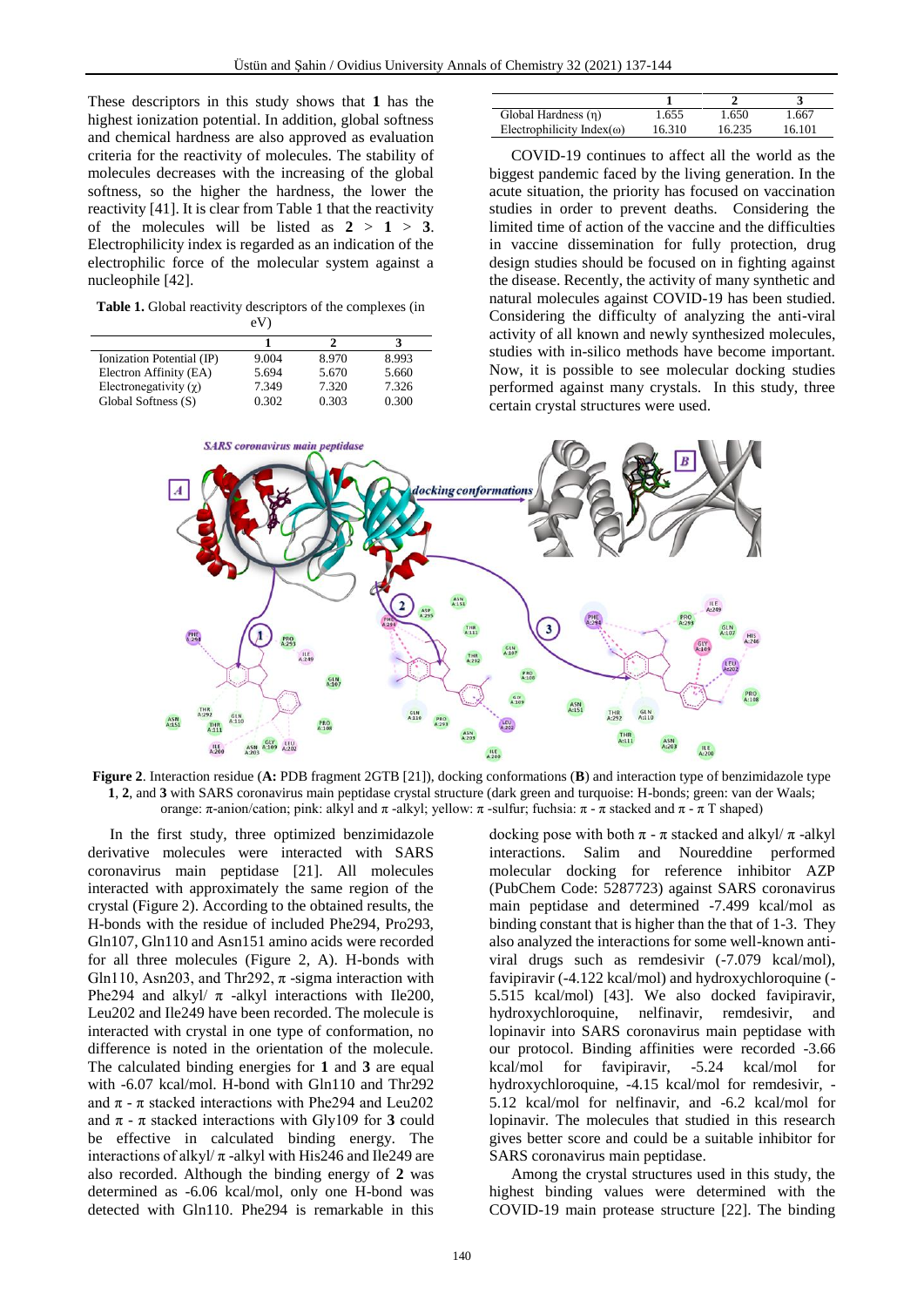These descriptors in this study shows that **1** has the highest ionization potential. In addition, global softness and chemical hardness are also approved as evaluation criteria for the reactivity of molecules. The stability of molecules decreases with the increasing of the global softness, so the higher the hardness, the lower the reactivity [41]. It is clear from Table 1 that the reactivity of the molecules will be listed as  $2 > 1 > 3$ . Electrophilicity index is regarded as an indication of the electrophilic force of the molecular system against a nucleophile [42].

**Table 1.** Global reactivity descriptors of the complexes (in eV)

| Ionization Potential (IP)    | 9.004 | 8.970 | 8.993 |
|------------------------------|-------|-------|-------|
| Electron Affinity (EA)       | 5.694 | 5.670 | 5.660 |
| Electronegativity $(\gamma)$ | 7.349 | 7.320 | 7.326 |
| Global Softness (S)          | 0.302 | 0.303 | 0.300 |

| Global Hardness (n)                | 1.655  | 1.650  | 1.667  |
|------------------------------------|--------|--------|--------|
| Electrophilicity Index( $\omega$ ) | 16.310 | 16.235 | 16.101 |

COVID-19 continues to affect all the world as the biggest pandemic faced by the living generation. In the acute situation, the priority has focused on vaccination studies in order to prevent deaths. Considering the limited time of action of the vaccine and the difficulties in vaccine dissemination for fully protection, drug design studies should be focused on in fighting against the disease. Recently, the activity of many synthetic and natural molecules against COVID-19 has been studied. Considering the difficulty of analyzing the anti-viral activity of all known and newly synthesized molecules, studies with in-silico methods have become important. Now, it is possible to see molecular docking studies performed against many crystals. In this study, three certain crystal structures were used.



**Figure 2**. Interaction residue (**A:** PDB fragment 2GTB [21]), docking conformations (**B**) and interaction type of benzimidazole type **1**, **2**, and **3** with SARS coronavirus main peptidase crystal structure (dark green and turquoise: H-bonds; green: van der Waals; orange: π-anion/cation; pink: alkyl and π -alkyl; yellow: π -sulfur; fuchsia: π - π stacked and π - π T shaped)

In the first study, three optimized benzimidazole derivative molecules were interacted with SARS coronavirus main peptidase [21]. All molecules interacted with approximately the same region of the crystal (Figure 2). According to the obtained results, the H-bonds with the residue of included Phe294, Pro293, Gln107, Gln110 and Asn151 amino acids were recorded for all three molecules (Figure 2, A). H-bonds with Gln110, Asn203, and Thr292,  $\pi$  -sigma interaction with Phe294 and alkyl/ $\pi$  -alkyl interactions with Ile200, Leu202 and Ile249 have been recorded. The molecule is interacted with crystal in one type of conformation, no difference is noted in the orientation of the molecule. The calculated binding energies for **1** and **3** are equal with -6.07 kcal/mol. H-bond with Gln110 and Thr292 and  $\pi$  -  $\pi$  stacked interactions with Phe294 and Leu202 and  $\pi$  -  $\pi$  stacked interactions with Gly109 for **3** could be effective in calculated binding energy. The interactions of alkyl $/\pi$ -alkyl with His246 and Ile249 are also recorded. Although the binding energy of **2** was determined as -6.06 kcal/mol, only one H-bond was detected with Gln110. Phe294 is remarkable in this

docking pose with both  $\pi$  -  $\pi$  stacked and alkyl/  $\pi$  -alkyl interactions. Salim and Noureddine performed molecular docking for reference inhibitor AZP (PubChem Code: 5287723) against SARS coronavirus main peptidase and determined -7.499 kcal/mol as binding constant that is higher than the that of 1-3. They also analyzed the interactions for some well-known antiviral drugs such as remdesivir (-7.079 kcal/mol), favipiravir (-4.122 kcal/mol) and hydroxychloroquine (- 5.515 kcal/mol) [43]. We also docked favipiravir, hydroxychloroquine, nelfinavir, remdesivir, and lopinavir into SARS coronavirus main peptidase with our protocol. Binding affinities were recorded -3.66  $kcal/mol$  for favipiravir,  $-5.24$  kcal/mol hydroxychloroquine, -4.15 kcal/mol for remdesivir, - 5.12 kcal/mol for nelfinavir, and -6.2 kcal/mol for lopinavir. The molecules that studied in this research gives better score and could be a suitable inhibitor for SARS coronavirus main peptidase.

Among the crystal structures used in this study, the highest binding values were determined with the COVID-19 main protease structure [22]. The binding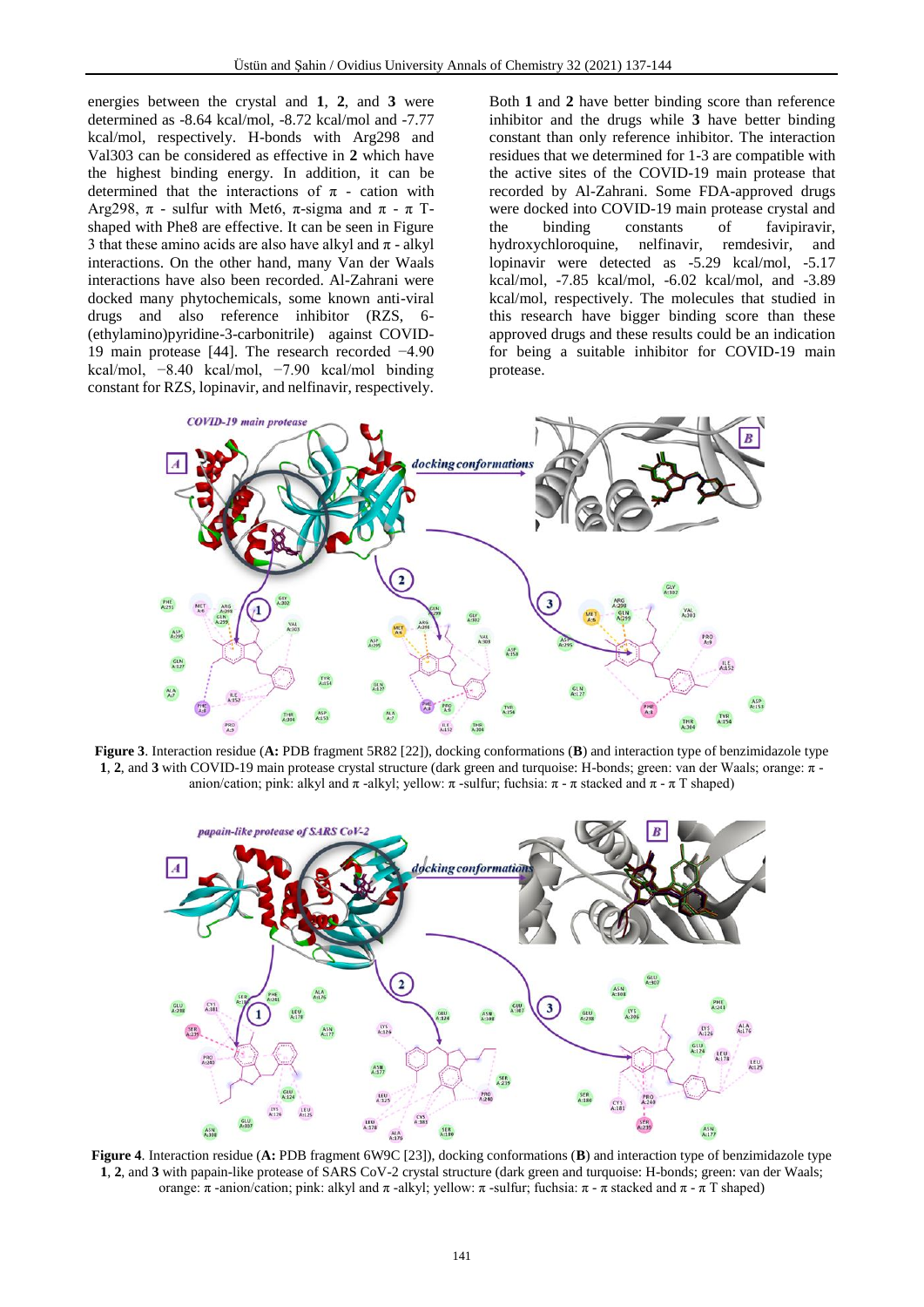energies between the crystal and **1**, **2**, and **3** were determined as -8.64 kcal/mol, -8.72 kcal/mol and -7.77 kcal/mol, respectively. H-bonds with Arg298 and Val303 can be considered as effective in **2** which have the highest binding energy. In addition, it can be determined that the interactions of  $\pi$  - cation with Arg298,  $\pi$  - sulfur with Met6,  $\pi$ -sigma and  $\pi$  -  $\pi$  Tshaped with Phe8 are effective. It can be seen in Figure 3 that these amino acids are also have alkyl and  $\pi$  - alkyl interactions. On the other hand, many Van der Waals interactions have also been recorded. Al-Zahrani were docked many phytochemicals, some known anti-viral drugs and also reference inhibitor (RZS, 6- (ethylamino)pyridine-3-carbonitrile) against COVID-19 main protease [44]. The research recorded −4.90 kcal/mol, −8.40 kcal/mol, −7.90 kcal/mol binding constant for RZS, lopinavir, and nelfinavir, respectively.

Both **1** and **2** have better binding score than reference inhibitor and the drugs while **3** have better binding constant than only reference inhibitor. The interaction residues that we determined for 1-3 are compatible with the active sites of the COVID-19 main protease that recorded by Al-Zahrani. Some FDA-approved drugs were docked into COVID-19 main protease crystal and the binding constants of favipiravir, hydroxychloroquine, nelfinavir, remdesivir, and lopinavir were detected as -5.29 kcal/mol, -5.17 kcal/mol, -7.85 kcal/mol, -6.02 kcal/mol, and -3.89 kcal/mol, respectively. The molecules that studied in this research have bigger binding score than these approved drugs and these results could be an indication for being a suitable inhibitor for COVID-19 main protease.



**Figure 3**. Interaction residue (**A:** PDB fragment 5R82 [22]), docking conformations (**B**) and interaction type of benzimidazole type **1**, **2**, and **3** with COVID-19 main protease crystal structure (dark green and turquoise: H-bonds; green: van der Waals; orange: π anion/cation; pink: alkyl and  $\pi$  -alkyl; yellow:  $\pi$  -sulfur; fuchsia:  $\pi$  -  $\pi$  stacked and  $\pi$  -  $\pi$  T shaped)



**Figure 4**. Interaction residue (**A:** PDB fragment 6W9C [23]), docking conformations (**B**) and interaction type of benzimidazole type **1**, **2**, and **3** with papain-like protease of SARS CoV-2 crystal structure (dark green and turquoise: H-bonds; green: van der Waals; orange: π -anion/cation; pink: alkyl and π -alkyl; yellow: π -sulfur; fuchsia: π - π stacked and π - π T shaped)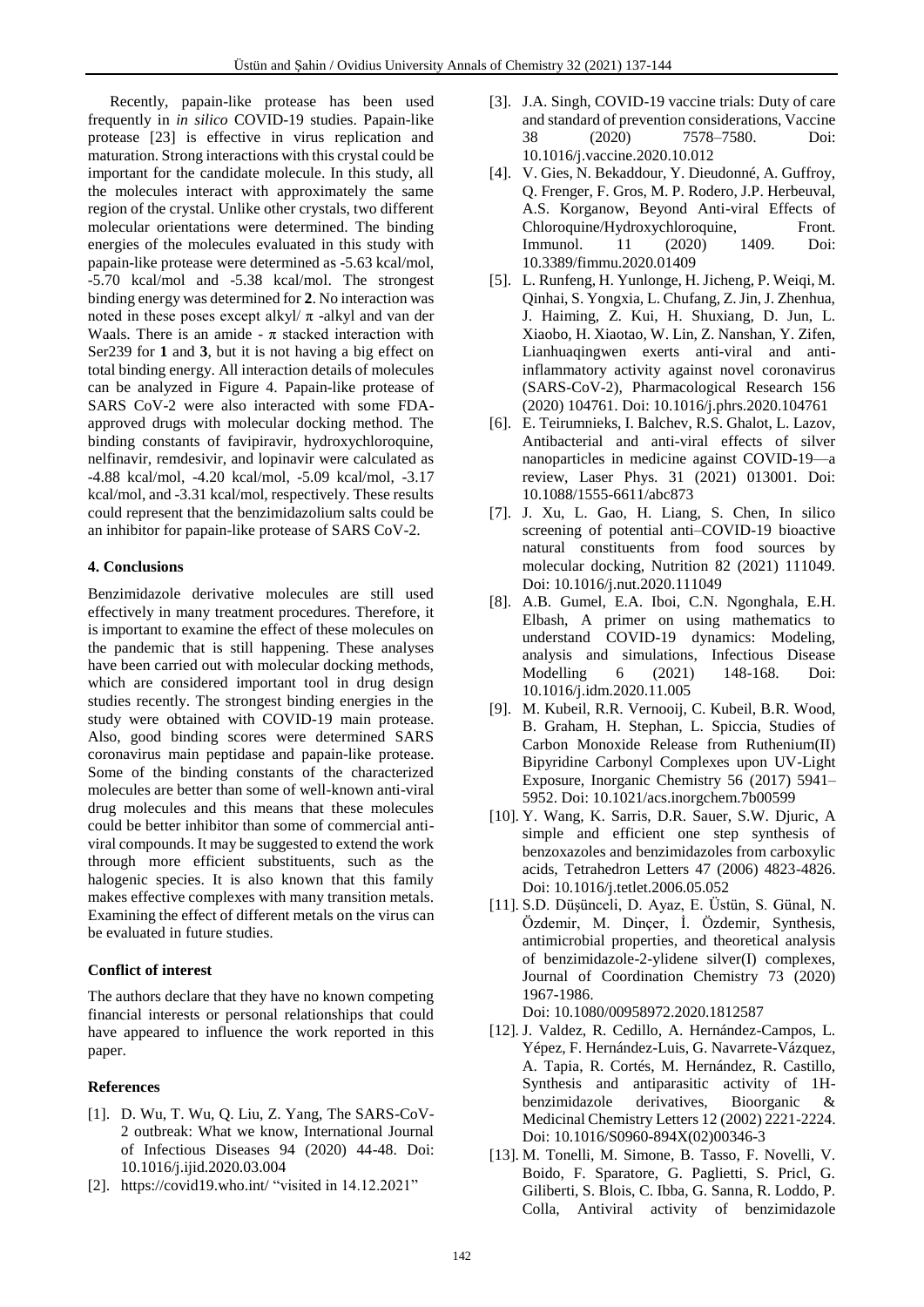Recently, papain-like protease has been used frequently in *in silico* COVID-19 studies. Papain-like protease [23] is effective in virus replication and maturation. Strong interactions with this crystal could be important for the candidate molecule. In this study, all the molecules interact with approximately the same region of the crystal. Unlike other crystals, two different molecular orientations were determined. The binding energies of the molecules evaluated in this study with papain-like protease were determined as -5.63 kcal/mol, -5.70 kcal/mol and -5.38 kcal/mol. The strongest binding energy was determined for **2**. No interaction was noted in these poses except alkyl $/\pi$ -alkyl and van der Waals. There is an amide -  $\pi$  stacked interaction with Ser239 for **1** and **3**, but it is not having a big effect on total binding energy. All interaction details of molecules can be analyzed in Figure 4. Papain-like protease of SARS CoV-2 were also interacted with some FDAapproved drugs with molecular docking method. The binding constants of favipiravir, hydroxychloroquine, nelfinavir, remdesivir, and lopinavir were calculated as -4.88 kcal/mol, -4.20 kcal/mol, -5.09 kcal/mol, -3.17 kcal/mol, and -3.31 kcal/mol, respectively. These results could represent that the benzimidazolium salts could be an inhibitor for papain-like protease of SARS CoV-2.

# **4. Conclusions**

Benzimidazole derivative molecules are still used effectively in many treatment procedures. Therefore, it is important to examine the effect of these molecules on the pandemic that is still happening. These analyses have been carried out with molecular docking methods, which are considered important tool in drug design studies recently. The strongest binding energies in the study were obtained with COVID-19 main protease. Also, good binding scores were determined SARS coronavirus main peptidase and papain-like protease. Some of the binding constants of the characterized molecules are better than some of well-known anti-viral drug molecules and this means that these molecules could be better inhibitor than some of commercial antiviral compounds. It may be suggested to extend the work through more efficient substituents, such as the halogenic species. It is also known that this family makes effective complexes with many transition metals. Examining the effect of different metals on the virus can be evaluated in future studies.

# **Conflict of interest**

The authors declare that they have no known competing financial interests or personal relationships that could have appeared to influence the work reported in this paper.

# **References**

- [1]. D. Wu, T. Wu, Q. Liu, Z. Yang, The SARS-CoV-2 outbreak: What we know, International Journal of Infectious Diseases 94 (2020) 44-48. Doi: 10.1016/j.ijid.2020.03.004
- [2]. <https://covid19.who.int/> "visited in 14.12.2021"
- [3]. J.A. Singh, COVID-19 vaccine trials: Duty of care and standard of prevention considerations, Vaccine 38 (2020) 7578–7580. Doi: 10.1016/j.vaccine.2020.10.012
- [4]. V. Gies, N. Bekaddour, Y. Dieudonné, A. Guffroy, Q. Frenger, F. Gros, M. P. Rodero, J.P. Herbeuval, A.S. Korganow, Beyond Anti-viral Effects of Chloroquine/Hydroxychloroquine, Front. Immunol. 11 (2020) 1409. Doi: 10.3389/fimmu.2020.01409
- [5]. L. Runfeng, H. Yunlonge, H. Jicheng, P. Weiqi, M. Qinhai, S. Yongxia, L. Chufang, Z. Jin, J. Zhenhua, J. Haiming, Z. Kui, H. Shuxiang, D. Jun, L. Xiaobo, H. Xiaotao, W. Lin, Z. Nanshan, Y. Zifen, Lianhuaqingwen exerts anti-viral and antiinflammatory activity against novel coronavirus (SARS-CoV-2), Pharmacological Research 156 (2020) 104761. Doi: 10.1016/j.phrs.2020.104761
- [6]. E. Teirumnieks, I. Balchev, R.S. Ghalot, L. Lazov, Antibacterial and anti-viral effects of silver nanoparticles in medicine against COVID-19—a review, Laser Phys. 31 (2021) 013001. Doi: 10.1088/1555-6611/abc873
- [7]. J. Xu, L. Gao, H. Liang, S. Chen, In silico screening of potential anti–COVID-19 bioactive natural constituents from food sources by molecular docking, Nutrition 82 (2021) 111049. Doi: 10.1016/j.nut.2020.111049
- [8]. A.B. Gumel, E.A. Iboi, C.N. Ngonghala, E.H. Elbash, A primer on using mathematics to understand COVID-19 dynamics: Modeling, analysis and simulations, Infectious Disease Modelling 6 (2021) 148-168. Doi: 10.1016/j.idm.2020.11.005
- [9]. M. Kubeil, R.R. Vernooij, C. Kubeil, B.R. Wood, B. Graham, H. Stephan, L. Spiccia, Studies of Carbon Monoxide Release from Ruthenium(II) Bipyridine Carbonyl Complexes upon UV-Light Exposure, Inorganic Chemistry 56 (2017) 5941– 5952. Doi: 10.1021/acs.inorgchem.7b00599
- [10]. Y. Wang, K. Sarris, D.R. Sauer, S.W. Djuric, A simple and efficient one step synthesis of benzoxazoles and benzimidazoles from carboxylic acids, Tetrahedron Letters 47 (2006) 4823-4826. Doi: 10.1016/j.tetlet.2006.05.052
- [11]. S.D. Düşünceli, D. Ayaz, E. Üstün, S. Günal, N. Özdemir, M. Dinçer, İ. Özdemir, Synthesis, antimicrobial properties, and theoretical analysis of benzimidazole-2-ylidene silver(I) complexes, Journal of Coordination Chemistry 73 (2020) 1967-1986.

Doi: 10.1080/00958972.2020.1812587

- [12]. J. Valdez, R. Cedillo, A. Hernández-Campos, L. Yépez, F. Hernández-Luis, G. Navarrete-Vázquez, A. Tapia, R. Cortés, M. Hernández, R. Castillo, Synthesis and antiparasitic activity of 1Hbenzimidazole derivatives, Bioorganic & Medicinal Chemistry Letters 12 (2002) 2221-2224. Doi: 10.1016/S0960-894X(02)00346-3
- [13]. M. Tonelli, M. Simone, B. Tasso, F. Novelli, V. Boido, F. Sparatore, G. Paglietti, S. Pricl, G. Giliberti, S. Blois, C. Ibba, G. Sanna, R. Loddo, P. Colla, Antiviral activity of benzimidazole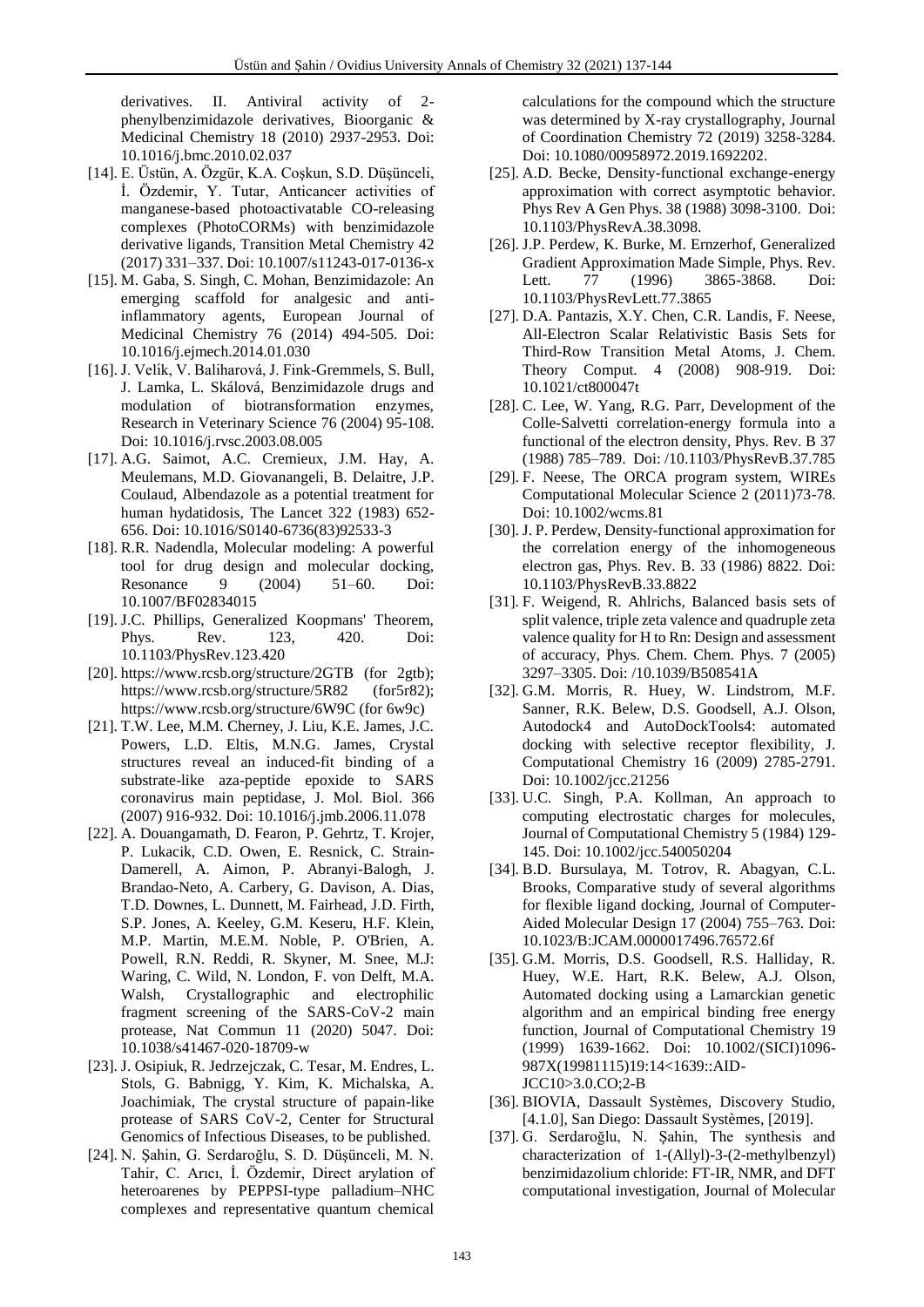derivatives. II. Antiviral activity of 2 phenylbenzimidazole derivatives, Bioorganic & Medicinal Chemistry 18 (2010) 2937-2953. Doi: 10.1016/j.bmc.2010.02.037

- [14]. E. Üstün, A. Özgür, K.A. Coşkun, S.D. Düşünceli, İ. Özdemir, Y. Tutar, Anticancer activities of manganese-based photoactivatable CO-releasing complexes (PhotoCORMs) with benzimidazole derivative ligands, Transition Metal Chemistry 42 (2017) 331–337. Doi: 10.1007/s11243-017-0136-x
- [15]. M. Gaba, S. Singh, C. Mohan, Benzimidazole: An emerging scaffold for analgesic and antiinflammatory agents, European Journal of Medicinal Chemistry 76 (2014) 494-505. Doi: 10.1016/j.ejmech.2014.01.030
- [16]. J. Velík, V. Baliharová, J. Fink-Gremmels, S. Bull, J. Lamka, L. Skálová, Benzimidazole drugs and modulation of biotransformation enzymes, Research in Veterinary Science 76 (2004) 95-108. Doi: 10.1016/j.rvsc.2003.08.005
- [17]. A.G. Saimot, A.C. Cremieux, J.M. Hay, A. Meulemans, M.D. Giovanangeli, B. Delaitre, J.P. Coulaud, Albendazole as a potential treatment for human hydatidosis, The Lancet 322 (1983) 652- 656. Doi: 10.1016/S0140-6736(83)92533-3
- [18]. R.R. Nadendla, Molecular modeling: A powerful tool for drug design and molecular docking, Resonance 9 (2004) 51–60. Doi: 10.1007/BF02834015
- [19]. J.C. Phillips, Generalized Koopmans' Theorem, Phys. Rev. 123, 420. Doi: 10.1103/PhysRev.123.420
- [20]. <https://www.rcsb.org/structure/2GTB> (for 2gtb); <https://www.rcsb.org/structure/5R82> (for5r82); <https://www.rcsb.org/structure/6W9C> (for 6w9c)
- [21]. T.W. Lee, M.M. Cherney, J. Liu, K.E. James, J.C. Powers, L.D. Eltis, M.N.G. James, Crystal structures reveal an induced-fit binding of a substrate-like aza-peptide epoxide to SARS coronavirus main peptidase, J. Mol. Biol. 366 (2007) 916-932. Doi: 10.1016/j.jmb.2006.11.078
- [22]. A. Douangamath, D. Fearon, P. Gehrtz, T. Krojer, P. Lukacik, C.D. Owen, E. Resnick, C. Strain-Damerell, A. Aimon, P. Abranyi-Balogh, J. Brandao-Neto, A. Carbery, G. Davison, A. Dias, T.D. Downes, L. Dunnett, M. Fairhead, J.D. Firth, S.P. Jones, A. Keeley, G.M. Keseru, H.F. Klein, M.P. Martin, M.E.M. Noble, P. O'Brien, A. Powell, R.N. Reddi, R. Skyner, M. Snee, M.J: Waring, C. Wild, N. London, F. von Delft, M.A. Walsh, Crystallographic and electrophilic fragment screening of the SARS-CoV-2 main protease, Nat Commun 11 (2020) 5047. Doi: 10.1038/s41467-020-18709-w
- [23]. J. Osipiuk, R. Jedrzejczak, C. Tesar, M. Endres, L. Stols, G. Babnigg, Y. Kim, K. Michalska, A. Joachimiak, The crystal structure of papain-like protease of SARS CoV-2, Center for Structural Genomics of Infectious Diseases, to be published.
- [24]. N. Şahin, G. Serdaroğlu, S. D. Düşünceli, M. N. Tahir, C. Arıcı, İ. Özdemir, Direct arylation of heteroarenes by PEPPSI-type palladium–NHC complexes and representative quantum chemical

calculations for the compound which the structure was determined by X-ray crystallography, Journal of Coordination Chemistry 72 (2019) 3258-3284. Doi: 10.1080/00958972.2019.1692202.

- [25]. A.D. Becke, Density-functional exchange-energy approximation with correct asymptotic behavior. Phys Rev A Gen Phys. 38 (1988) 3098-3100. Doi: 10.1103/PhysRevA.38.3098.
- [26]. J.P. Perdew, K. Burke, M. Ernzerhof, Generalized Gradient Approximation Made Simple, Phys. Rev. Lett. 77 (1996) 3865-3868. Doi: 10.1103/PhysRevLett.77.3865
- [27]. D.A. Pantazis, X.Y. Chen, C.R. Landis, F. Neese, All-Electron Scalar Relativistic Basis Sets for Third-Row Transition Metal Atoms, J. Chem. Theory Comput. 4 (2008) 908-919. Doi: 10.1021/ct800047t
- [28]. C. Lee, W. Yang, R.G. Parr, Development of the Colle-Salvetti correlation-energy formula into a functional of the electron density, Phys. Rev. B 37 (1988) 785–789. Doi: /10.1103/PhysRevB.37.785
- [29]. F. Neese, The ORCA program system, WIREs Computational Molecular Science 2 (2011)73-78. Doi: 10.1002/wcms.81
- [30]. J. P. Perdew, Density-functional approximation for the correlation energy of the inhomogeneous electron gas, Phys. Rev. B. 33 (1986) 8822. Doi: 10.1103/PhysRevB.33.8822
- [31]. F. Weigend, R. Ahlrichs, Balanced basis sets of split valence, triple zeta valence and quadruple zeta valence quality for H to Rn: Design and assessment of accuracy, Phys. Chem. Chem. Phys. 7 (2005) 3297–3305. Doi: /10.1039/B508541A
- [32]. G.M. Morris, R. Huey, W. Lindstrom, M.F. Sanner, R.K. Belew, D.S. Goodsell, A.J. Olson, Autodock4 and AutoDockTools4: automated docking with selective receptor flexibility, J. Computational Chemistry 16 (2009) 2785-2791. Doi: 10.1002/jcc.21256
- [33]. U.C. Singh, P.A. Kollman, An approach to computing electrostatic charges for molecules, Journal of Computational Chemistry 5 (1984) 129- 145. Doi: 10.1002/jcc.540050204
- [34]. B.D. Bursulaya, M. Totrov, R. Abagyan, C.L. Brooks, Comparative study of several algorithms for flexible ligand docking, Journal of Computer-Aided Molecular Design 17 (2004) 755–763. Doi: 10.1023/B:JCAM.0000017496.76572.6f
- [35]. G.M. Morris, D.S. Goodsell, R.S. Halliday, R. Huey, W.E. Hart, R.K. Belew, A.J. Olson, Automated docking using a Lamarckian genetic algorithm and an empirical binding free energy function, Journal of Computational Chemistry 19 (1999) 1639-1662. Doi: 10.1002/(SICI)1096- 987X(19981115)19:14<1639::AID-JCC10>3.0.CO;2-B
- [36]. BIOVIA, Dassault Systèmes, Discovery Studio, [4.1.0], San Diego: Dassault Systèmes, [2019].
- [37]. G. Serdaroğlu, N. Şahin, The synthesis and characterization of 1-(Allyl)-3-(2-methylbenzyl) benzimidazolium chloride: FT-IR, NMR, and DFT computational investigation, Journal of Molecular